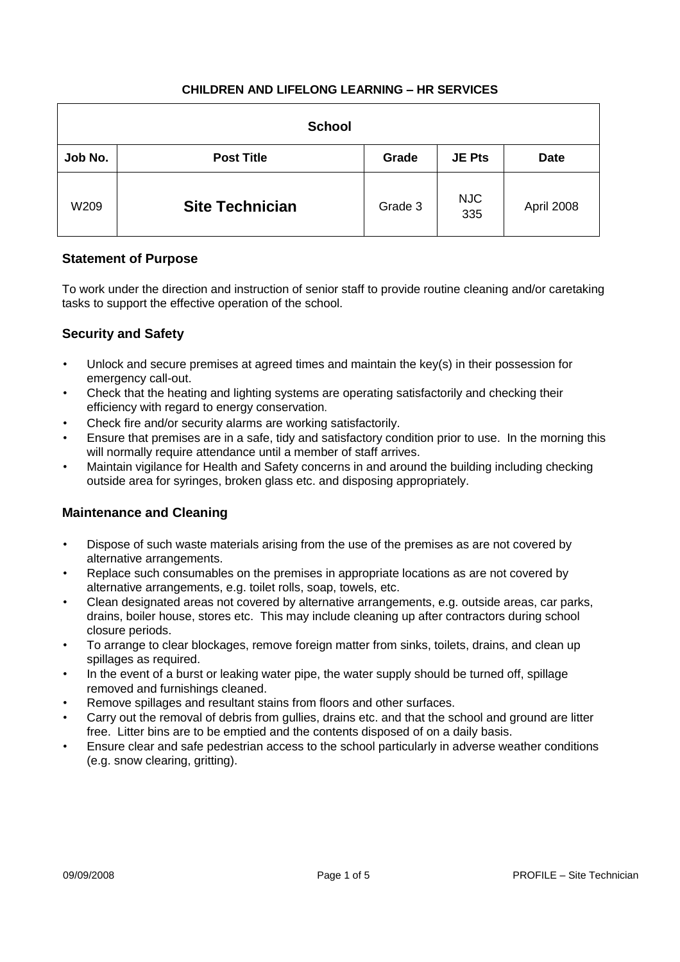| <b>School</b> |                        |         |                   |             |  |  |
|---------------|------------------------|---------|-------------------|-------------|--|--|
| Job No.       | <b>Post Title</b>      | Grade   | <b>JE Pts</b>     | <b>Date</b> |  |  |
| W209          | <b>Site Technician</b> | Grade 3 | <b>NJC</b><br>335 | April 2008  |  |  |

# **Statement of Purpose**

To work under the direction and instruction of senior staff to provide routine cleaning and/or caretaking tasks to support the effective operation of the school.

# **Security and Safety**

- Unlock and secure premises at agreed times and maintain the key(s) in their possession for emergency call-out.
- Check that the heating and lighting systems are operating satisfactorily and checking their efficiency with regard to energy conservation.
- Check fire and/or security alarms are working satisfactorily.
- Ensure that premises are in a safe, tidy and satisfactory condition prior to use. In the morning this will normally require attendance until a member of staff arrives.
- Maintain vigilance for Health and Safety concerns in and around the building including checking outside area for syringes, broken glass etc. and disposing appropriately.

## **Maintenance and Cleaning**

- Dispose of such waste materials arising from the use of the premises as are not covered by alternative arrangements.
- Replace such consumables on the premises in appropriate locations as are not covered by alternative arrangements, e.g. toilet rolls, soap, towels, etc.
- Clean designated areas not covered by alternative arrangements, e.g. outside areas, car parks, drains, boiler house, stores etc. This may include cleaning up after contractors during school closure periods.
- To arrange to clear blockages, remove foreign matter from sinks, toilets, drains, and clean up spillages as required.
- In the event of a burst or leaking water pipe, the water supply should be turned off, spillage removed and furnishings cleaned.
- Remove spillages and resultant stains from floors and other surfaces.
- Carry out the removal of debris from gullies, drains etc. and that the school and ground are litter free. Litter bins are to be emptied and the contents disposed of on a daily basis.
- Ensure clear and safe pedestrian access to the school particularly in adverse weather conditions (e.g. snow clearing, gritting).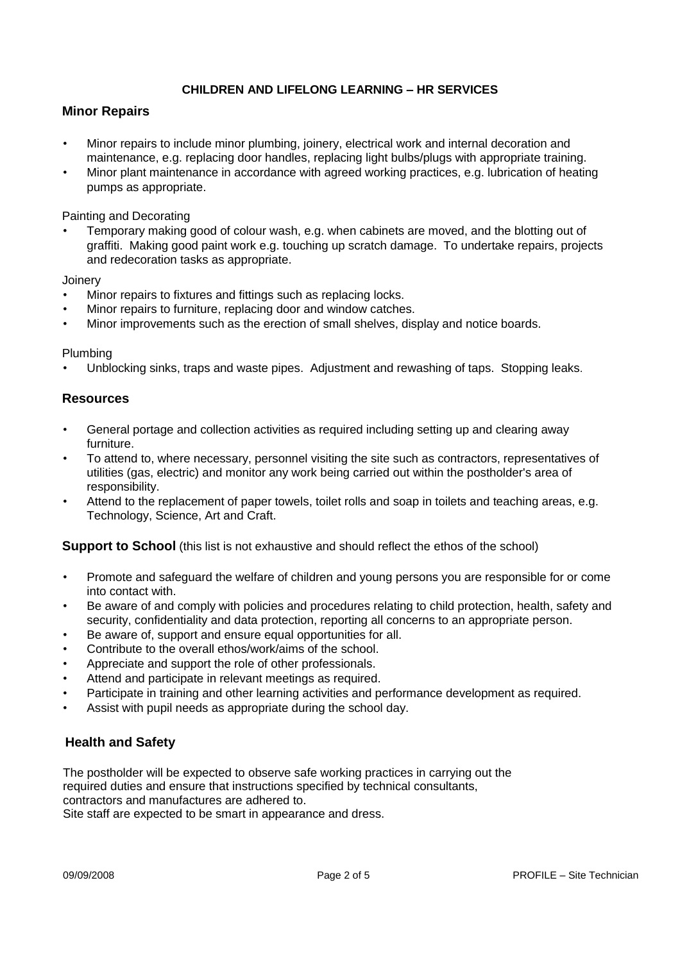### **Minor Repairs**

- Minor repairs to include minor plumbing, joinery, electrical work and internal decoration and maintenance, e.g. replacing door handles, replacing light bulbs/plugs with appropriate training.
- Minor plant maintenance in accordance with agreed working practices, e.g. lubrication of heating pumps as appropriate.

Painting and Decorating

• Temporary making good of colour wash, e.g. when cabinets are moved, and the blotting out of graffiti. Making good paint work e.g. touching up scratch damage. To undertake repairs, projects and redecoration tasks as appropriate.

**Joinery** 

- Minor repairs to fixtures and fittings such as replacing locks.
- Minor repairs to furniture, replacing door and window catches.
- Minor improvements such as the erection of small shelves, display and notice boards.

#### Plumbing

• Unblocking sinks, traps and waste pipes. Adjustment and rewashing of taps. Stopping leaks.

#### **Resources**

- General portage and collection activities as required including setting up and clearing away furniture.
- To attend to, where necessary, personnel visiting the site such as contractors, representatives of utilities (gas, electric) and monitor any work being carried out within the postholder's area of responsibility.
- Attend to the replacement of paper towels, toilet rolls and soap in toilets and teaching areas, e.g. Technology, Science, Art and Craft.

**Support to School** (this list is not exhaustive and should reflect the ethos of the school)

- Promote and safeguard the welfare of children and young persons you are responsible for or come into contact with.
- Be aware of and comply with policies and procedures relating to child protection, health, safety and security, confidentiality and data protection, reporting all concerns to an appropriate person.
- Be aware of, support and ensure equal opportunities for all.
- Contribute to the overall ethos/work/aims of the school.
- Appreciate and support the role of other professionals.
- Attend and participate in relevant meetings as required.
- Participate in training and other learning activities and performance development as required.
- Assist with pupil needs as appropriate during the school day.

#### **Health and Safety**

The postholder will be expected to observe safe working practices in carrying out the required duties and ensure that instructions specified by technical consultants, contractors and manufactures are adhered to. Site staff are expected to be smart in appearance and dress.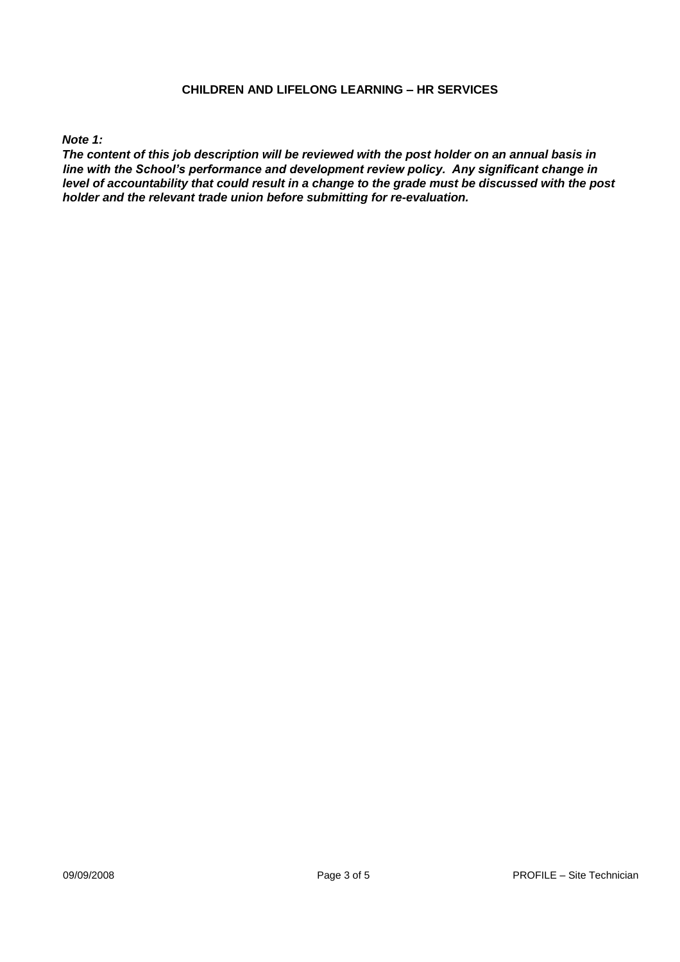#### *Note 1:*

*The content of this job description will be reviewed with the post holder on an annual basis in line with the School's performance and development review policy. Any significant change in level of accountability that could result in a change to the grade must be discussed with the post holder and the relevant trade union before submitting for re-evaluation.*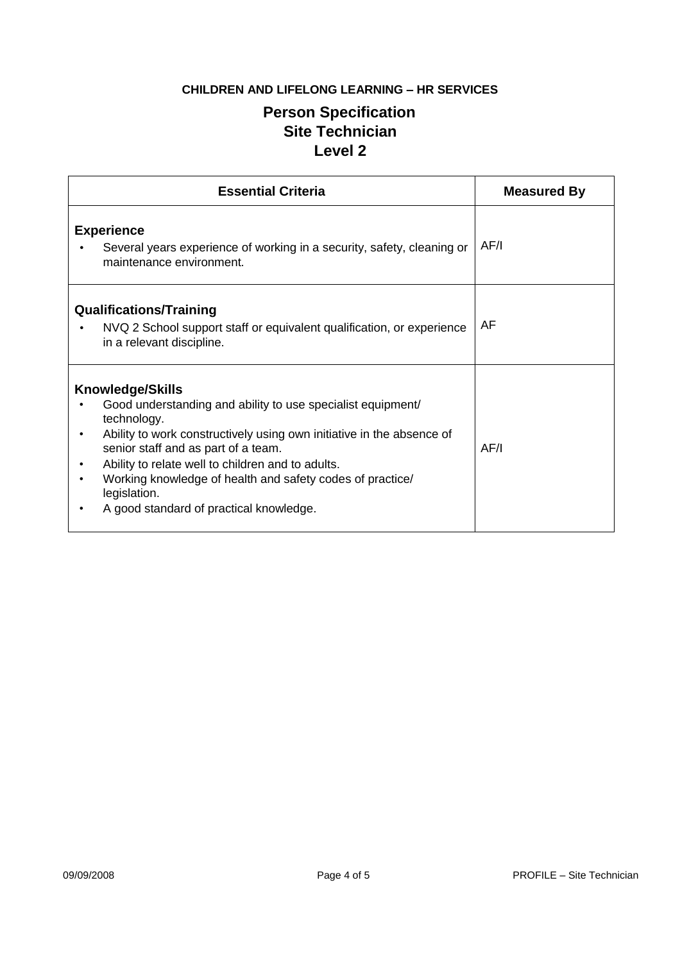# **Person Specification Site Technician Level 2**

| <b>Essential Criteria</b>                                                                                                                                                                                                                                                                                                                                                                          | <b>Measured By</b> |
|----------------------------------------------------------------------------------------------------------------------------------------------------------------------------------------------------------------------------------------------------------------------------------------------------------------------------------------------------------------------------------------------------|--------------------|
| <b>Experience</b><br>Several years experience of working in a security, safety, cleaning or<br>maintenance environment.                                                                                                                                                                                                                                                                            | AF/I               |
| <b>Qualifications/Training</b><br>NVQ 2 School support staff or equivalent qualification, or experience<br>in a relevant discipline.                                                                                                                                                                                                                                                               | AF                 |
| <b>Knowledge/Skills</b><br>Good understanding and ability to use specialist equipment/<br>technology.<br>Ability to work constructively using own initiative in the absence of<br>senior staff and as part of a team.<br>Ability to relate well to children and to adults.<br>Working knowledge of health and safety codes of practice/<br>legislation.<br>A good standard of practical knowledge. | AF/I               |